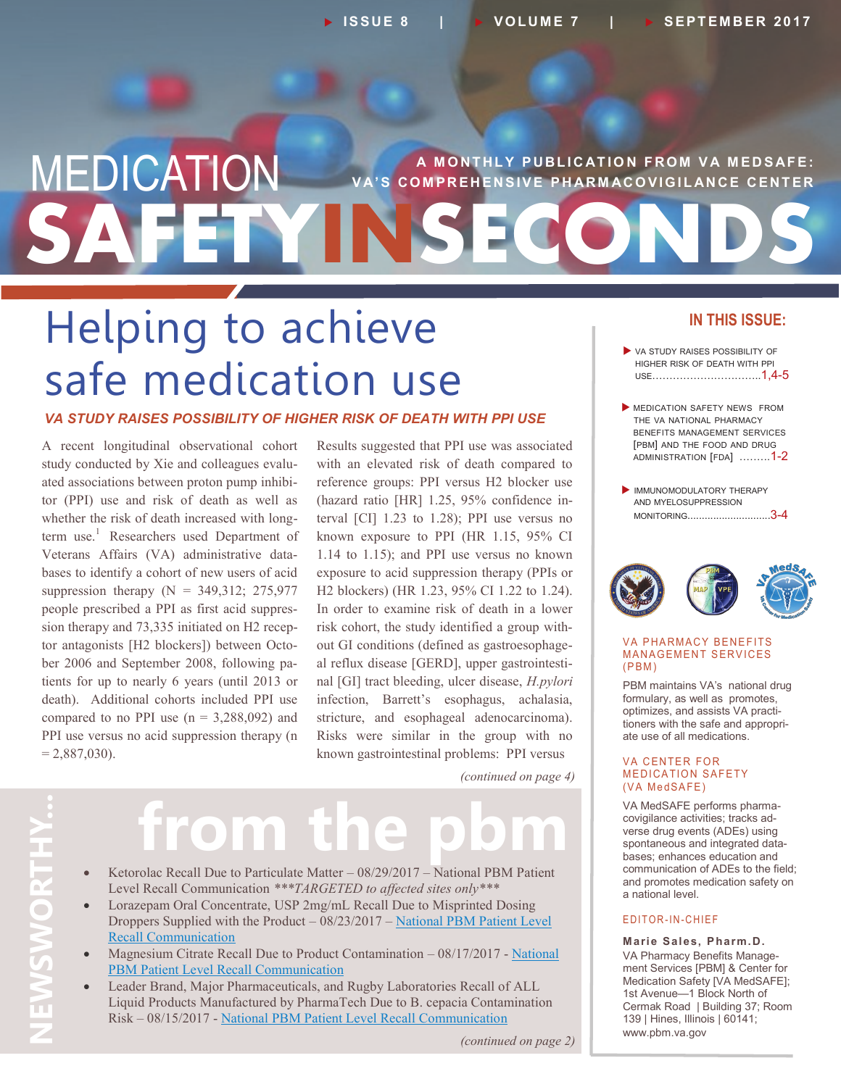## **SAFETYINSECONDS MEDICATION** VA'S COMPREHENSIVE PHARMACOVIGILANCE CENTER **V A' S C O M PR E H E N S I V E P H AR M AC O V I G I L AN C E C EN T E R**

## Helping to achieve safe medication use

#### *VA STUDY RAISES POSSIBILITY OF HIGHER RISK OF DEATH WITH PPI USE*

A recent longitudinal observational cohort study conducted by Xie and colleagues evaluated associations between proton pump inhibitor (PPI) use and risk of death as well as whether the risk of death increased with longterm use.<sup>1</sup> Researchers used Department of Veterans Affairs (VA) administrative databases to identify a cohort of new users of acid suppression therapy  $(N = 349.312; 275.977)$ people prescribed a PPI as first acid suppression therapy and 73,335 initiated on H2 receptor antagonists [H2 blockers]) between October 2006 and September 2008, following patients for up to nearly 6 years (until 2013 or death). Additional cohorts included PPI use compared to no PPI use  $(n = 3,288,092)$  and PPI use versus no acid suppression therapy (n  $= 2,887,030$ .

Results suggested that PPI use was associated with an elevated risk of death compared to reference groups: PPI versus H2 blocker use (hazard ratio [HR] 1.25, 95% confidence interval [CI] 1.23 to 1.28); PPI use versus no known exposure to PPI (HR 1.15, 95% CI 1.14 to 1.15); and PPI use versus no known exposure to acid suppression therapy (PPIs or H2 blockers) (HR 1.23, 95% CI 1.22 to 1.24). In order to examine risk of death in a lower risk cohort, the study identified a group without GI conditions (defined as gastroesophageal reflux disease [GERD], upper gastrointestinal [GI] tract bleeding, ulcer disease, *H.pylori*  infection, Barrett's esophagus, achalasia, stricture, and esophageal adenocarcinoma). Risks were similar in the group with no known gastrointestinal problems: PPI versus

*(continued on page 4)*

# **from the pbm**

- Ketorolac Recall Due to Particulate Matter 08/29/2017 National PBM Patient Level Recall Communication *\*\*\*TARGETED to affected sites only\*\*\**
- Lorazepam Oral Concentrate, USP 2mg/mL Recall Due to Misprinted Dosing Droppers Supplied with the Product – 08/23/2017 – [National PBM Patient Level](https://www.pbm.va.gov/PBM/vacenterformedicationsafety/LorazepamOralConcentrateRecallDuetoMisprintedDosingDroppersNatipdf.pdf) [Recall Communication](https://www.pbm.va.gov/PBM/vacenterformedicationsafety/LorazepamOralConcentrateRecallDuetoMisprintedDosingDroppersNatipdf.pdf)
- Magnesium Citrate Recall Due to Product Contamination 08/17/2017 [National](https://www.pbm.va.gov/PBM/vacenterformedicationsafety/MagnesiumCitrateRecallDuetoProductContaminationNationalPBMPatiepdf.pdf) [PBM Patient Level Recall Communication](https://www.pbm.va.gov/PBM/vacenterformedicationsafety/MagnesiumCitrateRecallDuetoProductContaminationNationalPBMPatiepdf.pdf)
- Leader Brand, Major Pharmaceuticals, and Rugby Laboratories Recall of ALL Liquid Products Manufactured by PharmaTech Due to B. cepacia Contamination Risk – 08/15/2017 - [National PBM Patient Level Recall Communication](https://www.pbm.va.gov/PBM/vacenterformedicationsafety/PharmaTechLiquidProductsRecallDuetoRiskofProductContaminationNpdf.pdf)

#### **IN THIS ISSUE:**

- VA STUDY RAISES POSSIBILITY OF HIGHER RISK OF DEATH WITH PPI USE…………………………..1,4-5
- MEDICATION SAFETY NEWS FROM THE VA NATIONAL PHARMACY BENEFITS MANAGEMENT SERVICES [PBM] AND THE FOOD AND DRUG ADMINISTRATION [FDA] .……..1-2
- **IMMUNOMODULATORY THERAPY** AND MYELOSUPPRESSION MONITORING.............................3-4



#### **VA PHARMACY BENEFITS MANAGEMENT SERVICES**  $(PBM)$

PBM maintains VA's national drug formulary, as well as promotes, optimizes, and assists VA practitioners with the safe and appropriate use of all medications.

#### **VA CENTER FOR MEDICATION SAFETY** (VA MedSAFE)

VA MedSAFE performs pharmacovigilance activities; tracks adverse drug events (ADEs) using spontaneous and integrated databases; enhances education and communication of ADEs to the field; and promotes medication safety on a national level.

#### E D IT OR-IN-CHIEF

**Marie Sales, Pharm.D.** VA Pharmacy Benefits Management Services [PBM] & Center for Medication Safety [VA MedSAFE]; 1st Avenue—1 Block North of Cermak Road | Building 37; Room 139 | Hines, Illinois | 60141; www.pbm.va.gov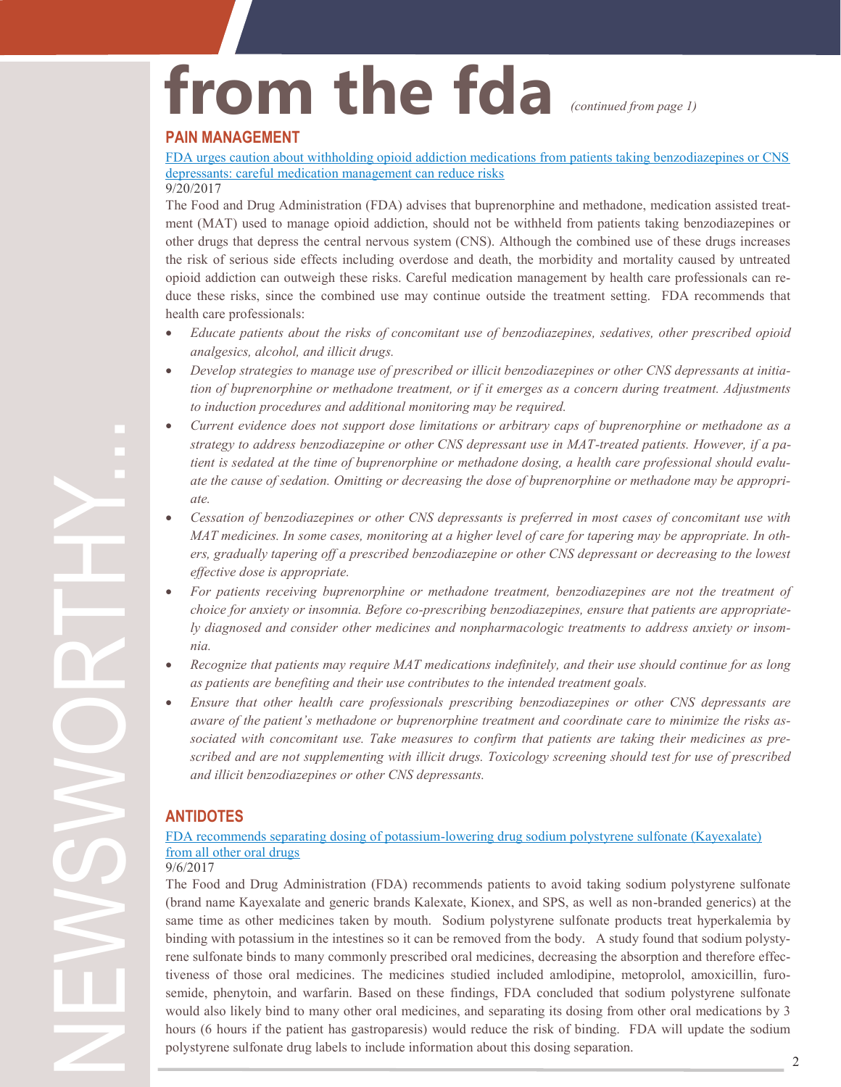# **from the fda**

*(continued from page 1)*

#### **PAIN MANAGEMENT**

[FDA urges caution about withholding opioid addiction medications from patients taking benzodiazepines or CNS](https://www.fda.gov/Drugs/DrugSafety/ucm575307.htm)  [depressants: careful medication management can reduce risks](https://www.fda.gov/Drugs/DrugSafety/ucm575307.htm)

9/20/2017

The Food and Drug Administration (FDA) advises that buprenorphine and methadone, medication assisted treatment (MAT) used to manage opioid addiction, should not be withheld from patients taking benzodiazepines or other drugs that depress the central nervous system (CNS). Although the combined use of these drugs increases the risk of serious side effects including overdose and death, the morbidity and mortality caused by untreated opioid addiction can outweigh these risks. Careful medication management by health care professionals can reduce these risks, since the combined use may continue outside the treatment setting. FDA recommends that health care professionals:

- *Educate patients about the risks of concomitant use of benzodiazepines, sedatives, other prescribed opioid analgesics, alcohol, and illicit drugs.*
- *Develop strategies to manage use of prescribed or illicit benzodiazepines or other CNS depressants at initiation of buprenorphine or methadone treatment, or if it emerges as a concern during treatment. Adjustments to induction procedures and additional monitoring may be required.*
- *Current evidence does not support dose limitations or arbitrary caps of buprenorphine or methadone as a strategy to address benzodiazepine or other CNS depressant use in MAT-treated patients. However, if a patient is sedated at the time of buprenorphine or methadone dosing, a health care professional should evaluate the cause of sedation. Omitting or decreasing the dose of buprenorphine or methadone may be appropriate.*
- *Cessation of benzodiazepines or other CNS depressants is preferred in most cases of concomitant use with MAT medicines. In some cases, monitoring at a higher level of care for tapering may be appropriate. In others, gradually tapering off a prescribed benzodiazepine or other CNS depressant or decreasing to the lowest effective dose is appropriate.*
- *For patients receiving buprenorphine or methadone treatment, benzodiazepines are not the treatment of choice for anxiety or insomnia. Before co-prescribing benzodiazepines, ensure that patients are appropriately diagnosed and consider other medicines and nonpharmacologic treatments to address anxiety or insomnia.*
- *Recognize that patients may require MAT medications indefinitely, and their use should continue for as long as patients are benefiting and their use contributes to the intended treatment goals.*
- *Ensure that other health care professionals prescribing benzodiazepines or other CNS depressants are aware of the patient's methadone or buprenorphine treatment and coordinate care to minimize the risks associated with concomitant use. Take measures to confirm that patients are taking their medicines as prescribed and are not supplementing with illicit drugs. Toxicology screening should test for use of prescribed and illicit benzodiazepines or other CNS depressants.*

#### **ANTIDOTES**

#### FDA recommends separating dosing of potassium-[lowering drug sodium polystyrene sulfonate \(Kayexalate\)](https://www.fda.gov/Drugs/DrugSafety/ucm572484.htm)  [from all other oral drugs](https://www.fda.gov/Drugs/DrugSafety/ucm572484.htm)

9/6/2017

The Food and Drug Administration (FDA) recommends patients to avoid taking sodium polystyrene sulfonate (brand name Kayexalate and generic brands Kalexate, Kionex, and SPS, as well as non-branded generics) at the same time as other medicines taken by mouth. Sodium polystyrene sulfonate products treat hyperkalemia by binding with potassium in the intestines so it can be removed from the body. A study found that sodium polystyrene sulfonate binds to many commonly prescribed oral medicines, decreasing the absorption and therefore effectiveness of those oral medicines. The medicines studied included amlodipine, metoprolol, amoxicillin, furosemide, phenytoin, and warfarin. Based on these findings, FDA concluded that sodium polystyrene sulfonate would also likely bind to many other oral medicines, and separating its dosing from other oral medications by 3 hours (6 hours if the patient has gastroparesis) would reduce the risk of binding. FDA will update the sodium polystyrene sulfonate drug labels to include information about this dosing separation.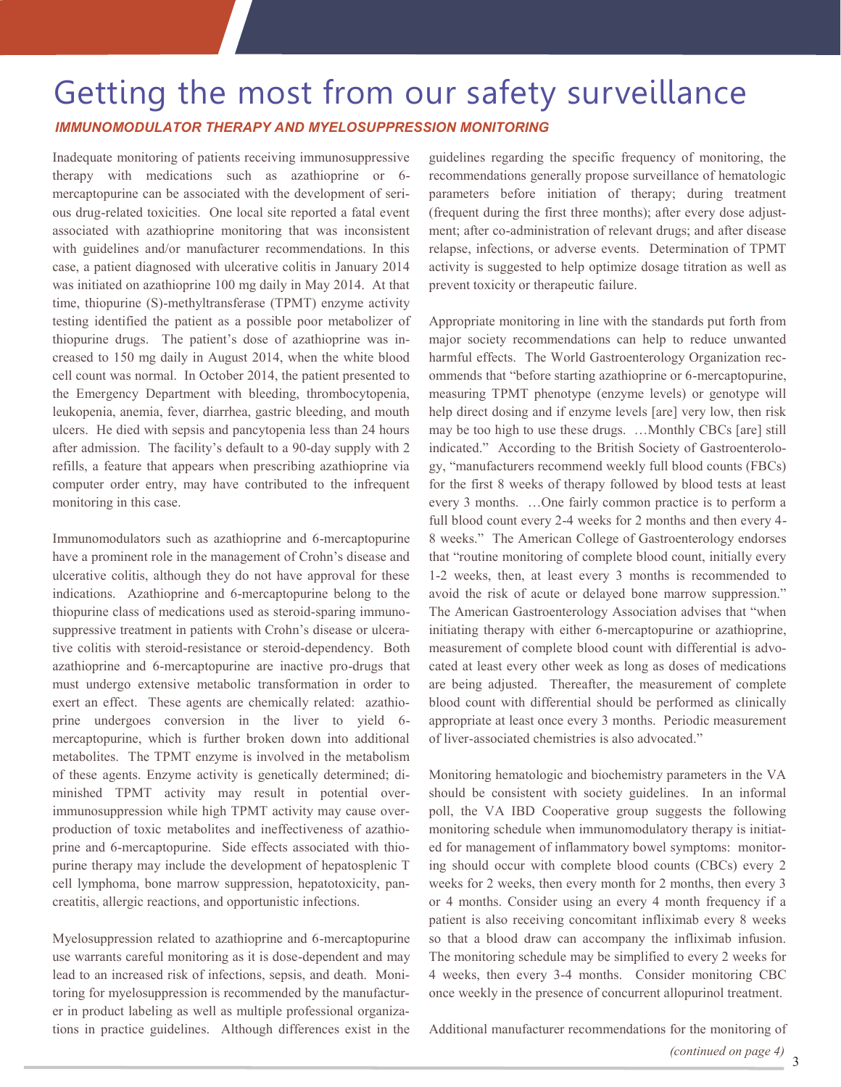### Getting the most from our safety surveillance *IMMUNOMODULATOR THERAPY AND MYELOSUPPRESSION MONITORING*

Inadequate monitoring of patients receiving immunosuppressive therapy with medications such as azathioprine or 6 mercaptopurine can be associated with the development of serious drug-related toxicities. One local site reported a fatal event associated with azathioprine monitoring that was inconsistent with guidelines and/or manufacturer recommendations. In this case, a patient diagnosed with ulcerative colitis in January 2014 was initiated on azathioprine 100 mg daily in May 2014. At that time, thiopurine (S)-methyltransferase (TPMT) enzyme activity testing identified the patient as a possible poor metabolizer of thiopurine drugs. The patient's dose of azathioprine was increased to 150 mg daily in August 2014, when the white blood cell count was normal. In October 2014, the patient presented to the Emergency Department with bleeding, thrombocytopenia, leukopenia, anemia, fever, diarrhea, gastric bleeding, and mouth ulcers. He died with sepsis and pancytopenia less than 24 hours after admission. The facility's default to a 90-day supply with 2 refills, a feature that appears when prescribing azathioprine via computer order entry, may have contributed to the infrequent monitoring in this case.

Immunomodulators such as azathioprine and 6-mercaptopurine have a prominent role in the management of Crohn's disease and ulcerative colitis, although they do not have approval for these indications. Azathioprine and 6-mercaptopurine belong to the thiopurine class of medications used as steroid-sparing immunosuppressive treatment in patients with Crohn's disease or ulcerative colitis with steroid-resistance or steroid-dependency. Both azathioprine and 6-mercaptopurine are inactive pro-drugs that must undergo extensive metabolic transformation in order to exert an effect. These agents are chemically related: azathioprine undergoes conversion in the liver to yield 6 mercaptopurine, which is further broken down into additional metabolites. The TPMT enzyme is involved in the metabolism of these agents. Enzyme activity is genetically determined; diminished TPMT activity may result in potential overimmunosuppression while high TPMT activity may cause overproduction of toxic metabolites and ineffectiveness of azathioprine and 6-mercaptopurine. Side effects associated with thiopurine therapy may include the development of hepatosplenic T cell lymphoma, bone marrow suppression, hepatotoxicity, pancreatitis, allergic reactions, and opportunistic infections.

Myelosuppression related to azathioprine and 6-mercaptopurine use warrants careful monitoring as it is dose-dependent and may lead to an increased risk of infections, sepsis, and death. Monitoring for myelosuppression is recommended by the manufacturer in product labeling as well as multiple professional organizations in practice guidelines. Although differences exist in the guidelines regarding the specific frequency of monitoring, the recommendations generally propose surveillance of hematologic parameters before initiation of therapy; during treatment (frequent during the first three months); after every dose adjustment; after co-administration of relevant drugs; and after disease relapse, infections, or adverse events. Determination of TPMT activity is suggested to help optimize dosage titration as well as prevent toxicity or therapeutic failure.

Appropriate monitoring in line with the standards put forth from major society recommendations can help to reduce unwanted harmful effects. The World Gastroenterology Organization recommends that "before starting azathioprine or 6-mercaptopurine, measuring TPMT phenotype (enzyme levels) or genotype will help direct dosing and if enzyme levels [are] very low, then risk may be too high to use these drugs. …Monthly CBCs [are] still indicated." According to the British Society of Gastroenterology, "manufacturers recommend weekly full blood counts (FBCs) for the first 8 weeks of therapy followed by blood tests at least every 3 months. …One fairly common practice is to perform a full blood count every 2-4 weeks for 2 months and then every 4- 8 weeks." The American College of Gastroenterology endorses that "routine monitoring of complete blood count, initially every 1-2 weeks, then, at least every 3 months is recommended to avoid the risk of acute or delayed bone marrow suppression." The American Gastroenterology Association advises that "when initiating therapy with either 6-mercaptopurine or azathioprine, measurement of complete blood count with differential is advocated at least every other week as long as doses of medications are being adjusted. Thereafter, the measurement of complete blood count with differential should be performed as clinically appropriate at least once every 3 months. Periodic measurement of liver-associated chemistries is also advocated."

Monitoring hematologic and biochemistry parameters in the VA should be consistent with society guidelines. In an informal poll, the VA IBD Cooperative group suggests the following monitoring schedule when immunomodulatory therapy is initiated for management of inflammatory bowel symptoms: monitoring should occur with complete blood counts (CBCs) every 2 weeks for 2 weeks, then every month for 2 months, then every 3 or 4 months. Consider using an every 4 month frequency if a patient is also receiving concomitant infliximab every 8 weeks so that a blood draw can accompany the infliximab infusion. The monitoring schedule may be simplified to every 2 weeks for 4 weeks, then every 3-4 months. Consider monitoring CBC once weekly in the presence of concurrent allopurinol treatment.

Additional manufacturer recommendations for the monitoring of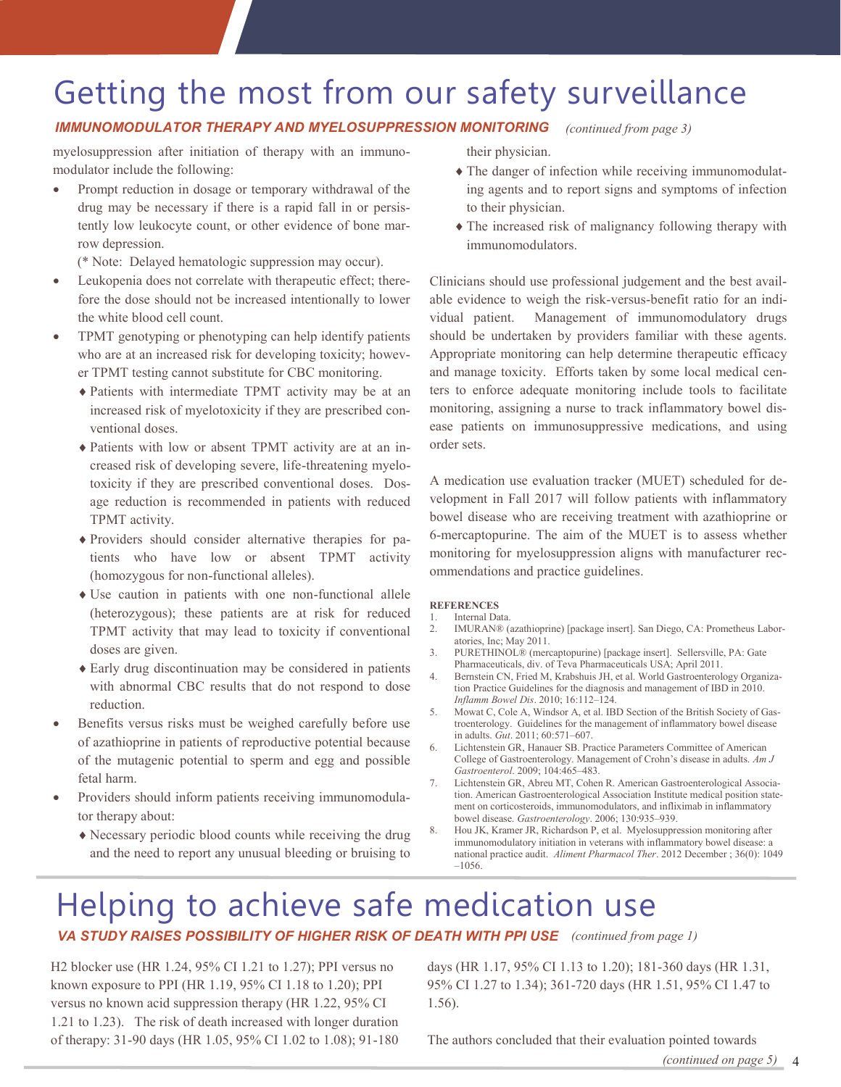## Getting the most from our safety surveillance

#### *IMMUNOMODULATOR THERAPY AND MYELOSUPPRESSION MONITORING (continued from page 3)*

myelosuppression after initiation of therapy with an immunomodulator include the following:

 Prompt reduction in dosage or temporary withdrawal of the drug may be necessary if there is a rapid fall in or persistently low leukocyte count, or other evidence of bone marrow depression.

(\* Note: Delayed hematologic suppression may occur).

- Leukopenia does not correlate with therapeutic effect; therefore the dose should not be increased intentionally to lower the white blood cell count.
- TPMT genotyping or phenotyping can help identify patients who are at an increased risk for developing toxicity; however TPMT testing cannot substitute for CBC monitoring.
	- Patients with intermediate TPMT activity may be at an increased risk of myelotoxicity if they are prescribed conventional doses.
	- Patients with low or absent TPMT activity are at an increased risk of developing severe, life-threatening myelotoxicity if they are prescribed conventional doses. Dosage reduction is recommended in patients with reduced TPMT activity.
	- Providers should consider alternative therapies for patients who have low or absent TPMT activity (homozygous for non-functional alleles).
	- Use caution in patients with one non-functional allele (heterozygous); these patients are at risk for reduced TPMT activity that may lead to toxicity if conventional doses are given.
	- Early drug discontinuation may be considered in patients with abnormal CBC results that do not respond to dose reduction.
- Benefits versus risks must be weighed carefully before use of azathioprine in patients of reproductive potential because of the mutagenic potential to sperm and egg and possible fetal harm.
- Providers should inform patients receiving immunomodulator therapy about:
	- Necessary periodic blood counts while receiving the drug and the need to report any unusual bleeding or bruising to

their physician.

- The danger of infection while receiving immunomodulating agents and to report signs and symptoms of infection to their physician.
- The increased risk of malignancy following therapy with immunomodulators.

Clinicians should use professional judgement and the best available evidence to weigh the risk-versus-benefit ratio for an individual patient. Management of immunomodulatory drugs should be undertaken by providers familiar with these agents. Appropriate monitoring can help determine therapeutic efficacy and manage toxicity. Efforts taken by some local medical centers to enforce adequate monitoring include tools to facilitate monitoring, assigning a nurse to track inflammatory bowel disease patients on immunosuppressive medications, and using order sets.

A medication use evaluation tracker (MUET) scheduled for development in Fall 2017 will follow patients with inflammatory bowel disease who are receiving treatment with azathioprine or 6-mercaptopurine. The aim of the MUET is to assess whether monitoring for myelosuppression aligns with manufacturer recommendations and practice guidelines.

#### **REFERENCES**

- 1. Internal Data.
- 2. IMURAN® (azathioprine) [package insert]. San Diego, CA: Prometheus Laboratories, Inc; May 2011.
- 3. PURETHINOL® (mercaptopurine) [package insert]. Sellersville, PA: Gate Pharmaceuticals, div. of Teva Pharmaceuticals USA; April 2011.
- 4. Bernstein CN, Fried M, Krabshuis JH, et al. World Gastroenterology Organization Practice Guidelines for the diagnosis and management of IBD in 2010. *Inflamm Bowel Dis*. 2010; 16:112–124.
- 5. Mowat C, Cole A, Windsor A, et al. IBD Section of the British Society of Gastroenterology. Guidelines for the management of inflammatory bowel disease in adults. *Gut*. 2011; 60:571–607.
- 6. Lichtenstein GR, Hanauer SB. Practice Parameters Committee of American College of Gastroenterology. Management of Crohn's disease in adults. *Am J Gastroenterol*. 2009; 104:465–483.
- 7. Lichtenstein GR, Abreu MT, Cohen R. American Gastroenterological Association. American Gastroenterological Association Institute medical position statement on corticosteroids, immunomodulators, and infliximab in inflammatory bowel disease. *Gastroenterology*. 2006; 130:935–939.
- 8. Hou JK, Kramer JR, Richardson P, et al. Myelosuppression monitoring after immunomodulatory initiation in veterans with inflammatory bowel disease: a national practice audit. *Aliment Pharmacol Ther*. 2012 December ; 36(0): 1049 –1056.

### Helping to achieve safe medication use **VA STUDY RAISES POSSIBILITY OF HIGHER RISK OF DEATH WITH PPI USE** (continued from page 1)

H2 blocker use (HR 1.24, 95% CI 1.21 to 1.27); PPI versus no known exposure to PPI (HR 1.19, 95% CI 1.18 to 1.20); PPI versus no known acid suppression therapy (HR 1.22, 95% CI 1.21 to 1.23). The risk of death increased with longer duration of therapy: 31-90 days (HR 1.05, 95% CI 1.02 to 1.08); 91-180

days (HR 1.17, 95% CI 1.13 to 1.20); 181-360 days (HR 1.31, 95% CI 1.27 to 1.34); 361-720 days (HR 1.51, 95% CI 1.47 to 1.56).

The authors concluded that their evaluation pointed towards